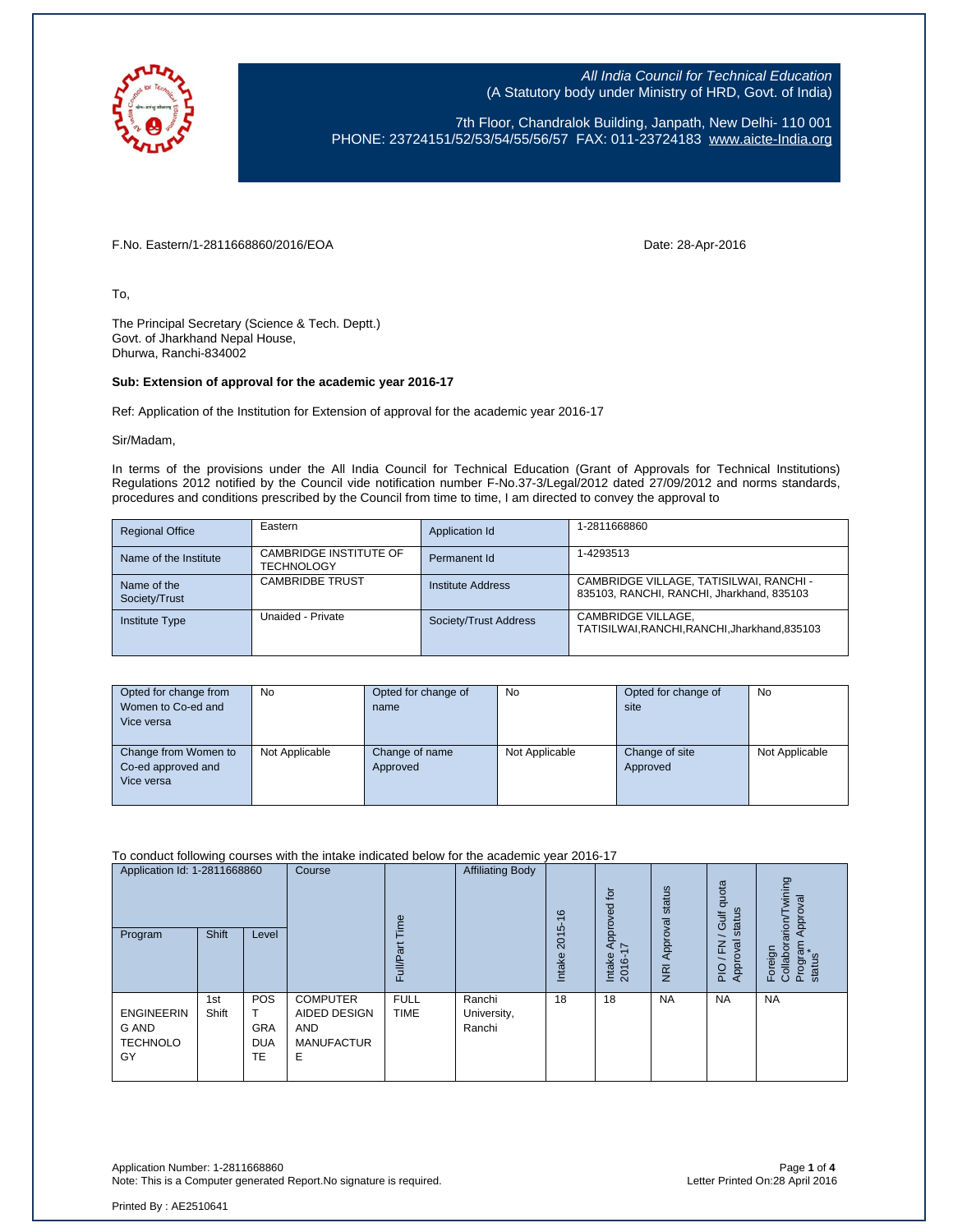

7th Floor, Chandralok Building, Janpath, New Delhi- 110 001 PHONE: 23724151/52/53/54/55/56/57 FAX: 011-23724183 [www.aicte-India.org](http://www.aicte-india.org/)

F.No. Eastern/1-2811668860/2016/EOA Date: 28-Apr-2016

To,

The Principal Secretary (Science & Tech. Deptt.) Govt. of Jharkhand Nepal House, Dhurwa, Ranchi-834002

## **Sub: Extension of approval for the academic year 2016-17**

Ref: Application of the Institution for Extension of approval for the academic year 2016-17

Sir/Madam,

In terms of the provisions under the All India Council for Technical Education (Grant of Approvals for Technical Institutions) Regulations 2012 notified by the Council vide notification number F-No.37-3/Legal/2012 dated 27/09/2012 and norms standards, procedures and conditions prescribed by the Council from time to time, I am directed to convey the approval to

| <b>Regional Office</b>       | Eastern                                            | Application Id        | 1-2811668860                                                                         |
|------------------------------|----------------------------------------------------|-----------------------|--------------------------------------------------------------------------------------|
| Name of the Institute        | <b>CAMBRIDGE INSTITUTE OF</b><br><b>TECHNOLOGY</b> | Permanent Id          | 1-4293513                                                                            |
| Name of the<br>Society/Trust | <b>CAMBRIDBE TRUST</b>                             | Institute Address     | CAMBRIDGE VILLAGE, TATISILWAI, RANCHI -<br>835103, RANCHI, RANCHI, Jharkhand, 835103 |
| <b>Institute Type</b>        | Unaided - Private                                  | Society/Trust Address | CAMBRIDGE VILLAGE,<br>TATISILWAI.RANCHI.RANCHI.Jharkhand.835103                      |

| Opted for change from<br>Women to Co-ed and<br>Vice versa | <b>No</b>      | Opted for change of<br>name | No             | Opted for change of<br>site | No             |
|-----------------------------------------------------------|----------------|-----------------------------|----------------|-----------------------------|----------------|
| Change from Women to<br>Co-ed approved and<br>Vice versa  | Not Applicable | Change of name<br>Approved  | Not Applicable | Change of site<br>Approved  | Not Applicable |

To conduct following courses with the intake indicated below for the academic year 2016-17

| Application Id: 1-2811668860<br>Program             | <b>Shift</b> | Level                                        | Course                                                                  | eui<br>Full/Pa             | <b>Affiliating Body</b>         | 16<br>2015-<br>Intake | $\overline{5}$<br>Approved<br>I7<br>Intake<br>2016- | status<br>Approval<br>$\overline{R}$ | quota<br>status<br>Gulf<br><b>R</b> xo<br>z<br>ш<br>App<br>$rac{Q}{P}$ | wining<br>Approval<br>arion/<br>Foreign<br>Collabor<br>Prograr<br>status |
|-----------------------------------------------------|--------------|----------------------------------------------|-------------------------------------------------------------------------|----------------------------|---------------------------------|-----------------------|-----------------------------------------------------|--------------------------------------|------------------------------------------------------------------------|--------------------------------------------------------------------------|
| <b>ENGINEERIN</b><br>G AND<br><b>TECHNOLO</b><br>GY | 1st<br>Shift | <b>POS</b><br><b>GRA</b><br><b>DUA</b><br>TE | <b>COMPUTER</b><br>AIDED DESIGN<br><b>AND</b><br><b>MANUFACTUR</b><br>Ε | <b>FULL</b><br><b>TIME</b> | Ranchi<br>University,<br>Ranchi | 18                    | 18                                                  | <b>NA</b>                            | <b>NA</b>                                                              | <b>NA</b>                                                                |

Application Number: 1-2811668860 Page **1** of **4** Note: This is a Computer generated Report.No signature is required.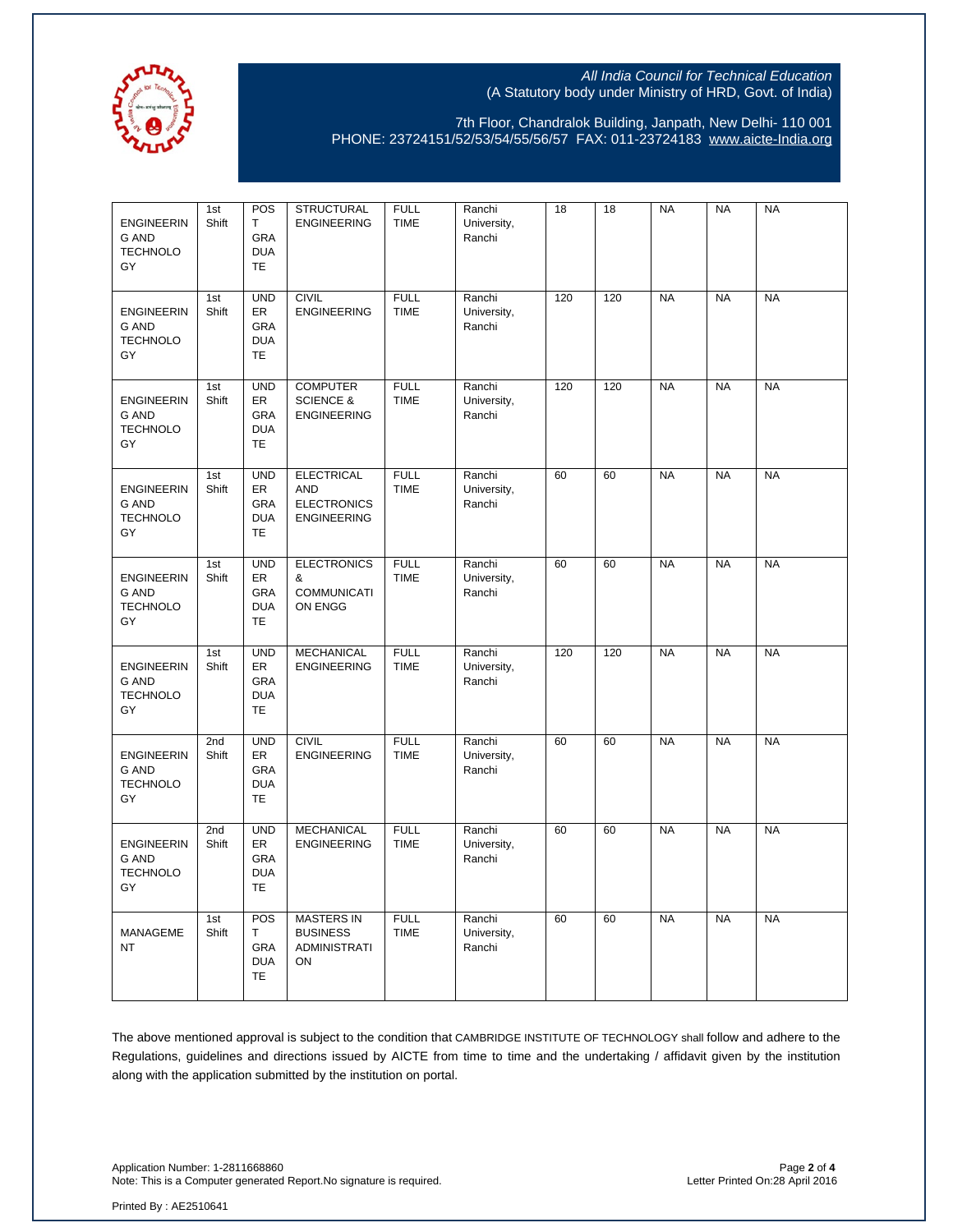

7th Floor, Chandralok Building, Janpath, New Delhi- 110 001 PHONE: 23724151/52/53/54/55/56/57 FAX: 011-23724183 [www.aicte-India.org](http://www.aicte-india.org/)

| <b>ENGINEERIN</b><br>G AND<br><b>TECHNOLO</b><br>GY        | 1st<br>Shift | POS<br>Т<br>GRA<br><b>DUA</b><br><b>TE</b>                | <b>STRUCTURAL</b><br><b>ENGINEERING</b>                                     | <b>FULL</b><br><b>TIME</b> | Ranchi<br>University,<br>Ranchi | 18  | 18  | <b>NA</b> | <b>NA</b> | <b>NA</b> |
|------------------------------------------------------------|--------------|-----------------------------------------------------------|-----------------------------------------------------------------------------|----------------------------|---------------------------------|-----|-----|-----------|-----------|-----------|
| <b>ENGINEERIN</b><br>G AND<br><b>TECHNOLO</b><br>GY        | 1st<br>Shift | <b>UND</b><br>ER<br>GRA<br><b>DUA</b><br><b>TE</b>        | <b>CIVIL</b><br><b>ENGINEERING</b>                                          | <b>FULL</b><br><b>TIME</b> | Ranchi<br>University,<br>Ranchi | 120 | 120 | <b>NA</b> | <b>NA</b> | <b>NA</b> |
| <b>ENGINEERIN</b><br><b>G AND</b><br><b>TECHNOLO</b><br>GY | 1st<br>Shift | <b>UND</b><br>ER<br><b>GRA</b><br><b>DUA</b><br><b>TE</b> | <b>COMPUTER</b><br><b>SCIENCE &amp;</b><br><b>ENGINEERING</b>               | <b>FULL</b><br><b>TIME</b> | Ranchi<br>University,<br>Ranchi | 120 | 120 | <b>NA</b> | <b>NA</b> | <b>NA</b> |
| <b>ENGINEERIN</b><br><b>G AND</b><br><b>TECHNOLO</b><br>GY | 1st<br>Shift | <b>UND</b><br>ER<br>GRA<br><b>DUA</b><br><b>TE</b>        | <b>ELECTRICAL</b><br><b>AND</b><br><b>ELECTRONICS</b><br><b>ENGINEERING</b> | <b>FULL</b><br><b>TIME</b> | Ranchi<br>University,<br>Ranchi | 60  | 60  | <b>NA</b> | <b>NA</b> | <b>NA</b> |
| <b>ENGINEERIN</b><br><b>G AND</b><br><b>TECHNOLO</b><br>GY | 1st<br>Shift | <b>UND</b><br>ER<br><b>GRA</b><br><b>DUA</b><br><b>TE</b> | <b>ELECTRONICS</b><br>&<br><b>COMMUNICATI</b><br>ON ENGG                    | <b>FULL</b><br><b>TIME</b> | Ranchi<br>University,<br>Ranchi | 60  | 60  | <b>NA</b> | <b>NA</b> | <b>NA</b> |
| <b>ENGINEERIN</b><br><b>G AND</b><br><b>TECHNOLO</b><br>GY | 1st<br>Shift | <b>UND</b><br>ER<br>GRA<br><b>DUA</b><br><b>TE</b>        | <b>MECHANICAL</b><br><b>ENGINEERING</b>                                     | <b>FULL</b><br><b>TIME</b> | Ranchi<br>University,<br>Ranchi | 120 | 120 | <b>NA</b> | <b>NA</b> | <b>NA</b> |
| <b>ENGINEERIN</b><br>G AND<br><b>TECHNOLO</b><br>GY        | 2nd<br>Shift | <b>UND</b><br>ER<br>GRA<br><b>DUA</b><br><b>TE</b>        | <b>CIVIL</b><br><b>ENGINEERING</b>                                          | <b>FULL</b><br><b>TIME</b> | Ranchi<br>University,<br>Ranchi | 60  | 60  | <b>NA</b> | <b>NA</b> | <b>NA</b> |
| <b>ENGINEERIN</b><br>G AND<br><b>TECHNOLO</b><br>GY        | 2nd<br>Shift | <b>UND</b><br>ER<br>GRA<br><b>DUA</b><br>TE               | <b>MECHANICAL</b><br><b>ENGINEERING</b>                                     | <b>FULL</b><br><b>TIME</b> | Ranchi<br>University,<br>Ranchi | 60  | 60  | <b>NA</b> | <b>NA</b> | <b>NA</b> |
| MANAGEME<br>NT                                             | 1st<br>Shift | POS<br>Т<br>GRA<br><b>DUA</b><br><b>TE</b>                | <b>MASTERS IN</b><br><b>BUSINESS</b><br><b>ADMINISTRATI</b><br>ON           | <b>FULL</b><br><b>TIME</b> | Ranchi<br>University,<br>Ranchi | 60  | 60  | <b>NA</b> | <b>NA</b> | <b>NA</b> |

The above mentioned approval is subject to the condition that CAMBRIDGE INSTITUTE OF TECHNOLOGY shall follow and adhere to the Regulations, guidelines and directions issued by AICTE from time to time and the undertaking / affidavit given by the institution along with the application submitted by the institution on portal.

Application Number: 1-2811668860 Page **2** of **4** Note: This is a Computer generated Report. No signature is required.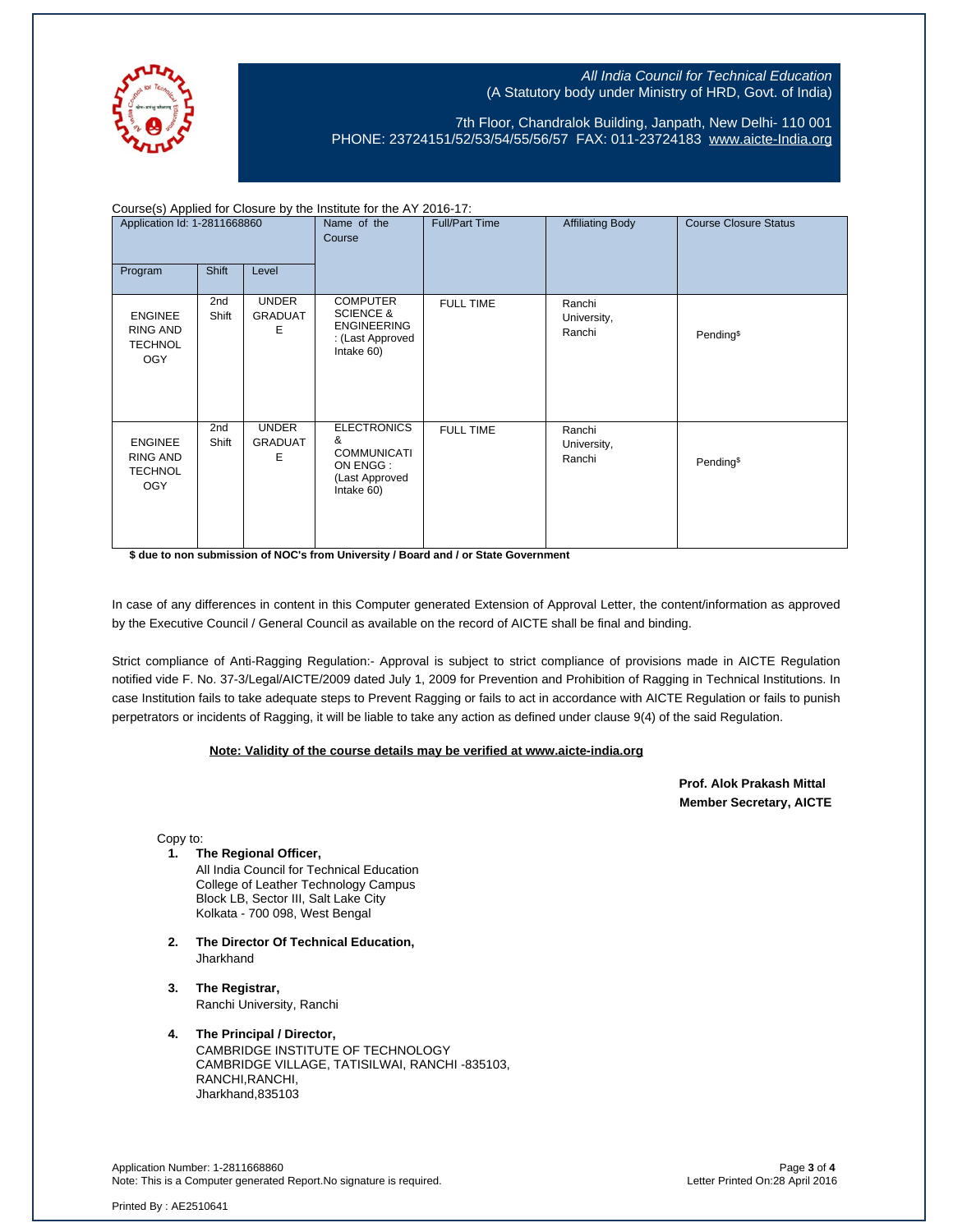

7th Floor, Chandralok Building, Janpath, New Delhi- 110 001 PHONE: 23724151/52/53/54/55/56/57 FAX: 011-23724183 [www.aicte-India.org](http://www.aicte-india.org/)

| Course(s) Applied for Closure by the Institute for the AY 2016-17: |              |                                     |                                                                                                 |                       |                                 |                              |  |  |
|--------------------------------------------------------------------|--------------|-------------------------------------|-------------------------------------------------------------------------------------------------|-----------------------|---------------------------------|------------------------------|--|--|
| Application Id: 1-2811668860                                       |              |                                     | Name of the<br>Course                                                                           | <b>Full/Part Time</b> | <b>Affiliating Body</b>         | <b>Course Closure Status</b> |  |  |
| Program                                                            | <b>Shift</b> | Level                               |                                                                                                 |                       |                                 |                              |  |  |
| <b>ENGINEE</b><br><b>RING AND</b><br><b>TECHNOL</b><br><b>OGY</b>  | 2nd<br>Shift | <b>UNDER</b><br><b>GRADUAT</b><br>Ε | <b>COMPUTER</b><br><b>SCIENCE &amp;</b><br><b>ENGINEERING</b><br>: (Last Approved<br>Intake 60) | <b>FULL TIME</b>      | Ranchi<br>University,<br>Ranchi | Pending <sup>\$</sup>        |  |  |
| <b>ENGINEE</b><br><b>RING AND</b><br><b>TECHNOL</b><br><b>OGY</b>  | 2nd<br>Shift | <b>UNDER</b><br><b>GRADUAT</b><br>Е | <b>ELECTRONICS</b><br>&<br><b>COMMUNICATI</b><br>ON ENGG:<br>(Last Approved<br>Intake 60)       | <b>FULL TIME</b>      | Ranchi<br>University,<br>Ranchi | Pending <sup>\$</sup>        |  |  |

**\$ due to non submission of NOC's from University / Board and / or State Government**

In case of any differences in content in this Computer generated Extension of Approval Letter, the content/information as approved by the Executive Council / General Council as available on the record of AICTE shall be final and binding.

Strict compliance of Anti-Ragging Regulation:- Approval is subject to strict compliance of provisions made in AICTE Regulation notified vide F. No. 37-3/Legal/AICTE/2009 dated July 1, 2009 for Prevention and Prohibition of Ragging in Technical Institutions. In case Institution fails to take adequate steps to Prevent Ragging or fails to act in accordance with AICTE Regulation or fails to punish perpetrators or incidents of Ragging, it will be liable to take any action as defined under clause 9(4) of the said Regulation.

## **Note: Validity of the course details may be verified at www.aicte-india.org**

 **Prof. Alok Prakash Mittal Member Secretary, AICTE** 

Copy to:

**1. The Regional Officer,**

All India Council for Technical Education College of Leather Technology Campus Block LB, Sector III, Salt Lake City Kolkata - 700 098, West Bengal

- **2. The Director Of Technical Education, Jharkhand**
- **3. The Registrar,** Ranchi University, Ranchi
- **4. The Principal / Director,**

CAMBRIDGE INSTITUTE OF TECHNOLOGY CAMBRIDGE VILLAGE, TATISILWAI, RANCHI -835103, RANCHI,RANCHI, Jharkhand,835103

Application Number: 1-2811668860 Page **3** of **4** Note: This is a Computer generated Report.No signature is required.

Printed By : AE2510641